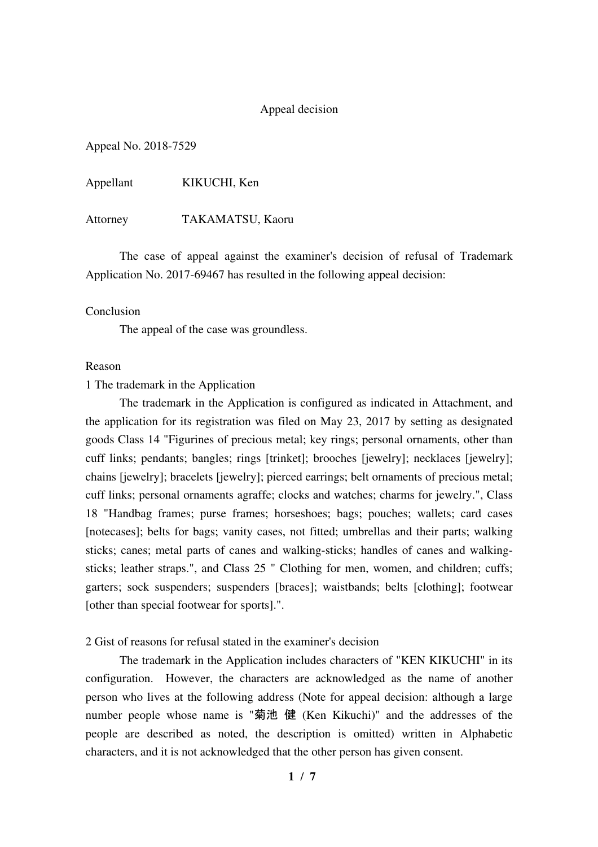## Appeal decision

Appeal No. 2018-7529

Appellant KIKUCHI, Ken

Attorney TAKAMATSU, Kaoru

 The case of appeal against the examiner's decision of refusal of Trademark Application No. 2017-69467 has resulted in the following appeal decision:

### Conclusion

The appeal of the case was groundless.

#### Reason

1 The trademark in the Application

 The trademark in the Application is configured as indicated in Attachment, and the application for its registration was filed on May 23, 2017 by setting as designated goods Class 14 "Figurines of precious metal; key rings; personal ornaments, other than cuff links; pendants; bangles; rings [trinket]; brooches [jewelry]; necklaces [jewelry]; chains [jewelry]; bracelets [jewelry]; pierced earrings; belt ornaments of precious metal; cuff links; personal ornaments agraffe; clocks and watches; charms for jewelry.", Class 18 "Handbag frames; purse frames; horseshoes; bags; pouches; wallets; card cases [notecases]; belts for bags; vanity cases, not fitted; umbrellas and their parts; walking sticks; canes; metal parts of canes and walking-sticks; handles of canes and walkingsticks; leather straps.", and Class 25 " Clothing for men, women, and children; cuffs; garters; sock suspenders; suspenders [braces]; waistbands; belts [clothing]; footwear [other than special footwear for sports].".

2 Gist of reasons for refusal stated in the examiner's decision

 The trademark in the Application includes characters of "KEN KIKUCHI" in its configuration. However, the characters are acknowledged as the name of another person who lives at the following address (Note for appeal decision: although a large number people whose name is "菊池 健 (Ken Kikuchi)" and the addresses of the people are described as noted, the description is omitted) written in Alphabetic characters, and it is not acknowledged that the other person has given consent.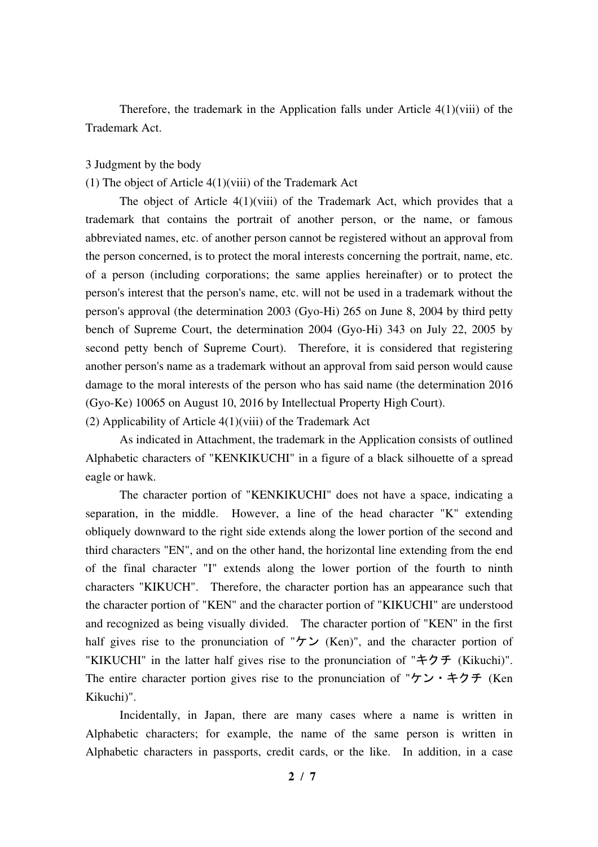Therefore, the trademark in the Application falls under Article 4(1)(viii) of the Trademark Act.

### 3 Judgment by the body

# (1) The object of Article 4(1)(viii) of the Trademark Act

The object of Article  $4(1)(viii)$  of the Trademark Act, which provides that a trademark that contains the portrait of another person, or the name, or famous abbreviated names, etc. of another person cannot be registered without an approval from the person concerned, is to protect the moral interests concerning the portrait, name, etc. of a person (including corporations; the same applies hereinafter) or to protect the person's interest that the person's name, etc. will not be used in a trademark without the person's approval (the determination 2003 (Gyo-Hi) 265 on June 8, 2004 by third petty bench of Supreme Court, the determination 2004 (Gyo-Hi) 343 on July 22, 2005 by second petty bench of Supreme Court). Therefore, it is considered that registering another person's name as a trademark without an approval from said person would cause damage to the moral interests of the person who has said name (the determination 2016 (Gyo-Ke) 10065 on August 10, 2016 by Intellectual Property High Court).

(2) Applicability of Article 4(1)(viii) of the Trademark Act

 As indicated in Attachment, the trademark in the Application consists of outlined Alphabetic characters of "KENKIKUCHI" in a figure of a black silhouette of a spread eagle or hawk.

 The character portion of "KENKIKUCHI" does not have a space, indicating a separation, in the middle. However, a line of the head character "K" extending obliquely downward to the right side extends along the lower portion of the second and third characters "EN", and on the other hand, the horizontal line extending from the end of the final character "I" extends along the lower portion of the fourth to ninth characters "KIKUCH". Therefore, the character portion has an appearance such that the character portion of "KEN" and the character portion of "KIKUCHI" are understood and recognized as being visually divided. The character portion of "KEN" in the first half gives rise to the pronunciation of " $\forall \rangle$  (Ken)", and the character portion of "KIKUCHI" in the latter half gives rise to the pronunciation of "キクチ (Kikuchi)". The entire character portion gives rise to the pronunciation of "ケン・キクチ (Ken Kikuchi)".

 Incidentally, in Japan, there are many cases where a name is written in Alphabetic characters; for example, the name of the same person is written in Alphabetic characters in passports, credit cards, or the like. In addition, in a case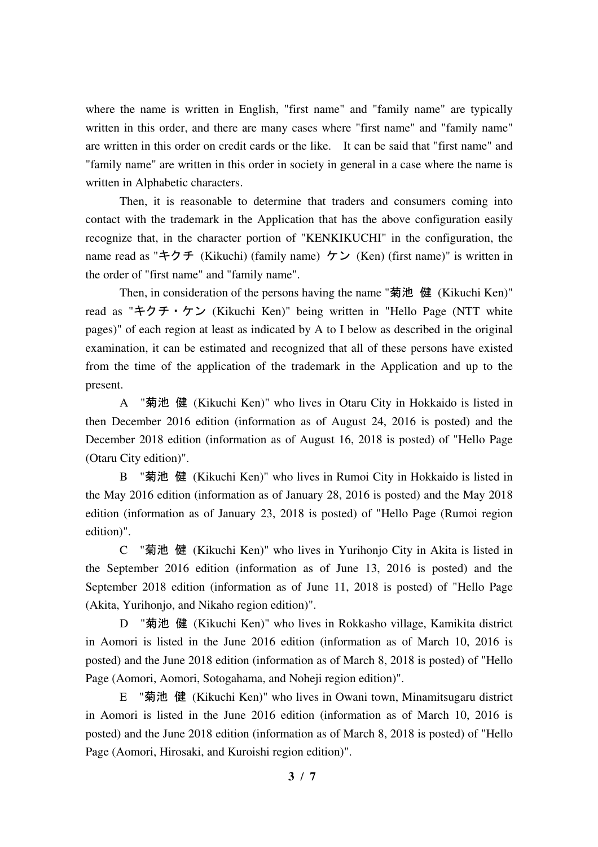where the name is written in English, "first name" and "family name" are typically written in this order, and there are many cases where "first name" and "family name" are written in this order on credit cards or the like. It can be said that "first name" and "family name" are written in this order in society in general in a case where the name is written in Alphabetic characters.

 Then, it is reasonable to determine that traders and consumers coming into contact with the trademark in the Application that has the above configuration easily recognize that, in the character portion of "KENKIKUCHI" in the configuration, the name read as "キクチ (Kikuchi) (family name) ケン (Ken) (first name)" is written in the order of "first name" and "family name".

Then, in consideration of the persons having the name "菊池 健 (Kikuchi Ken)" read as "キクチ・ケン (Kikuchi Ken)" being written in "Hello Page (NTT white pages)" of each region at least as indicated by A to I below as described in the original examination, it can be estimated and recognized that all of these persons have existed from the time of the application of the trademark in the Application and up to the present.

 A "菊池 健 (Kikuchi Ken)" who lives in Otaru City in Hokkaido is listed in then December 2016 edition (information as of August 24, 2016 is posted) and the December 2018 edition (information as of August 16, 2018 is posted) of "Hello Page (Otaru City edition)".

 B "菊池 健 (Kikuchi Ken)" who lives in Rumoi City in Hokkaido is listed in the May 2016 edition (information as of January 28, 2016 is posted) and the May 2018 edition (information as of January 23, 2018 is posted) of "Hello Page (Rumoi region edition)".

 C "菊池 健 (Kikuchi Ken)" who lives in Yurihonjo City in Akita is listed in the September 2016 edition (information as of June 13, 2016 is posted) and the September 2018 edition (information as of June 11, 2018 is posted) of "Hello Page (Akita, Yurihonjo, and Nikaho region edition)".

 D "菊池 健 (Kikuchi Ken)" who lives in Rokkasho village, Kamikita district in Aomori is listed in the June 2016 edition (information as of March 10, 2016 is posted) and the June 2018 edition (information as of March 8, 2018 is posted) of "Hello Page (Aomori, Aomori, Sotogahama, and Noheji region edition)".

 E "菊池 健 (Kikuchi Ken)" who lives in Owani town, Minamitsugaru district in Aomori is listed in the June 2016 edition (information as of March 10, 2016 is posted) and the June 2018 edition (information as of March 8, 2018 is posted) of "Hello Page (Aomori, Hirosaki, and Kuroishi region edition)".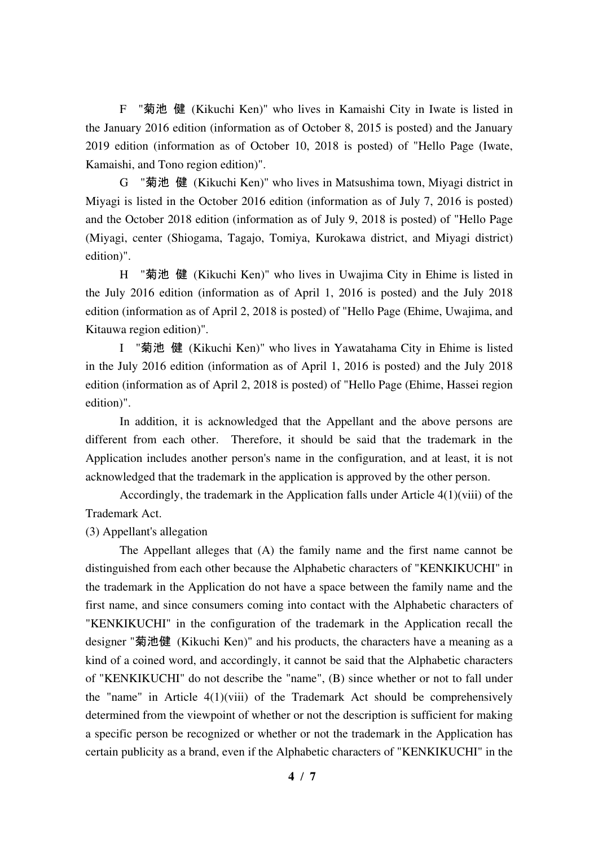F "菊池 健 (Kikuchi Ken)" who lives in Kamaishi City in Iwate is listed in the January 2016 edition (information as of October 8, 2015 is posted) and the January 2019 edition (information as of October 10, 2018 is posted) of "Hello Page (Iwate, Kamaishi, and Tono region edition)".

 G "菊池 健 (Kikuchi Ken)" who lives in Matsushima town, Miyagi district in Miyagi is listed in the October 2016 edition (information as of July 7, 2016 is posted) and the October 2018 edition (information as of July 9, 2018 is posted) of "Hello Page (Miyagi, center (Shiogama, Tagajo, Tomiya, Kurokawa district, and Miyagi district) edition)".

 H "菊池 健 (Kikuchi Ken)" who lives in Uwajima City in Ehime is listed in the July 2016 edition (information as of April 1, 2016 is posted) and the July 2018 edition (information as of April 2, 2018 is posted) of "Hello Page (Ehime, Uwajima, and Kitauwa region edition)".

 I "菊池 健 (Kikuchi Ken)" who lives in Yawatahama City in Ehime is listed in the July 2016 edition (information as of April 1, 2016 is posted) and the July 2018 edition (information as of April 2, 2018 is posted) of "Hello Page (Ehime, Hassei region edition)".

 In addition, it is acknowledged that the Appellant and the above persons are different from each other. Therefore, it should be said that the trademark in the Application includes another person's name in the configuration, and at least, it is not acknowledged that the trademark in the application is approved by the other person.

 Accordingly, the trademark in the Application falls under Article 4(1)(viii) of the Trademark Act.

# (3) Appellant's allegation

 The Appellant alleges that (A) the family name and the first name cannot be distinguished from each other because the Alphabetic characters of "KENKIKUCHI" in the trademark in the Application do not have a space between the family name and the first name, and since consumers coming into contact with the Alphabetic characters of "KENKIKUCHI" in the configuration of the trademark in the Application recall the designer "菊池健 (Kikuchi Ken)" and his products, the characters have a meaning as a kind of a coined word, and accordingly, it cannot be said that the Alphabetic characters of "KENKIKUCHI" do not describe the "name", (B) since whether or not to fall under the "name" in Article 4(1)(viii) of the Trademark Act should be comprehensively determined from the viewpoint of whether or not the description is sufficient for making a specific person be recognized or whether or not the trademark in the Application has certain publicity as a brand, even if the Alphabetic characters of "KENKIKUCHI" in the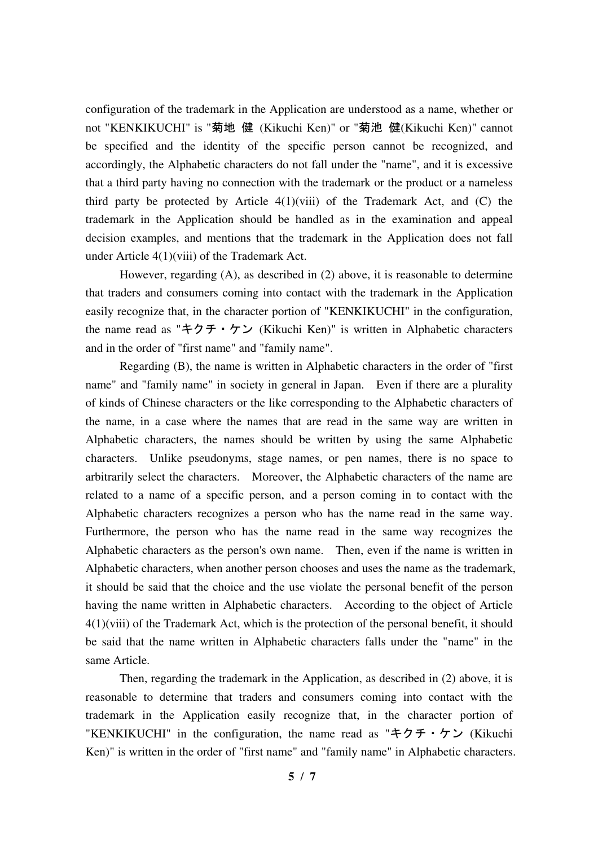configuration of the trademark in the Application are understood as a name, whether or not "KENKIKUCHI" is "菊地 健 (Kikuchi Ken)" or "菊池 健(Kikuchi Ken)" cannot be specified and the identity of the specific person cannot be recognized, and accordingly, the Alphabetic characters do not fall under the "name", and it is excessive that a third party having no connection with the trademark or the product or a nameless third party be protected by Article  $4(1)(viii)$  of the Trademark Act, and (C) the trademark in the Application should be handled as in the examination and appeal decision examples, and mentions that the trademark in the Application does not fall under Article 4(1)(viii) of the Trademark Act.

 However, regarding (A), as described in (2) above, it is reasonable to determine that traders and consumers coming into contact with the trademark in the Application easily recognize that, in the character portion of "KENKIKUCHI" in the configuration, the name read as "キクチ・ケン (Kikuchi Ken)" is written in Alphabetic characters and in the order of "first name" and "family name".

 Regarding (B), the name is written in Alphabetic characters in the order of "first name" and "family name" in society in general in Japan. Even if there are a plurality of kinds of Chinese characters or the like corresponding to the Alphabetic characters of the name, in a case where the names that are read in the same way are written in Alphabetic characters, the names should be written by using the same Alphabetic characters. Unlike pseudonyms, stage names, or pen names, there is no space to arbitrarily select the characters. Moreover, the Alphabetic characters of the name are related to a name of a specific person, and a person coming in to contact with the Alphabetic characters recognizes a person who has the name read in the same way. Furthermore, the person who has the name read in the same way recognizes the Alphabetic characters as the person's own name. Then, even if the name is written in Alphabetic characters, when another person chooses and uses the name as the trademark, it should be said that the choice and the use violate the personal benefit of the person having the name written in Alphabetic characters. According to the object of Article  $4(1)($ viii) of the Trademark Act, which is the protection of the personal benefit, it should be said that the name written in Alphabetic characters falls under the "name" in the same Article.

 Then, regarding the trademark in the Application, as described in (2) above, it is reasonable to determine that traders and consumers coming into contact with the trademark in the Application easily recognize that, in the character portion of "KENKIKUCHI" in the configuration, the name read as "キクチ・ケン (Kikuchi) Ken)" is written in the order of "first name" and "family name" in Alphabetic characters.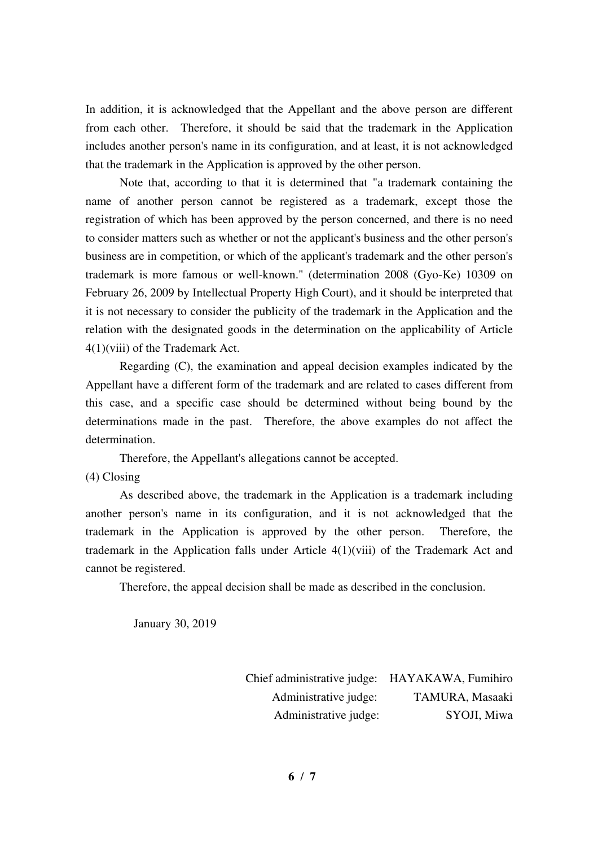In addition, it is acknowledged that the Appellant and the above person are different from each other. Therefore, it should be said that the trademark in the Application includes another person's name in its configuration, and at least, it is not acknowledged that the trademark in the Application is approved by the other person.

 Note that, according to that it is determined that "a trademark containing the name of another person cannot be registered as a trademark, except those the registration of which has been approved by the person concerned, and there is no need to consider matters such as whether or not the applicant's business and the other person's business are in competition, or which of the applicant's trademark and the other person's trademark is more famous or well-known." (determination 2008 (Gyo-Ke) 10309 on February 26, 2009 by Intellectual Property High Court), and it should be interpreted that it is not necessary to consider the publicity of the trademark in the Application and the relation with the designated goods in the determination on the applicability of Article 4(1)(viii) of the Trademark Act.

 Regarding (C), the examination and appeal decision examples indicated by the Appellant have a different form of the trademark and are related to cases different from this case, and a specific case should be determined without being bound by the determinations made in the past. Therefore, the above examples do not affect the determination.

Therefore, the Appellant's allegations cannot be accepted.

(4) Closing

 As described above, the trademark in the Application is a trademark including another person's name in its configuration, and it is not acknowledged that the trademark in the Application is approved by the other person. Therefore, the trademark in the Application falls under Article 4(1)(viii) of the Trademark Act and cannot be registered.

Therefore, the appeal decision shall be made as described in the conclusion.

January 30, 2019

Chief administrative judge: HAYAKAWA, Fumihiro Administrative judge: TAMURA, Masaaki Administrative judge: SYOJI, Miwa